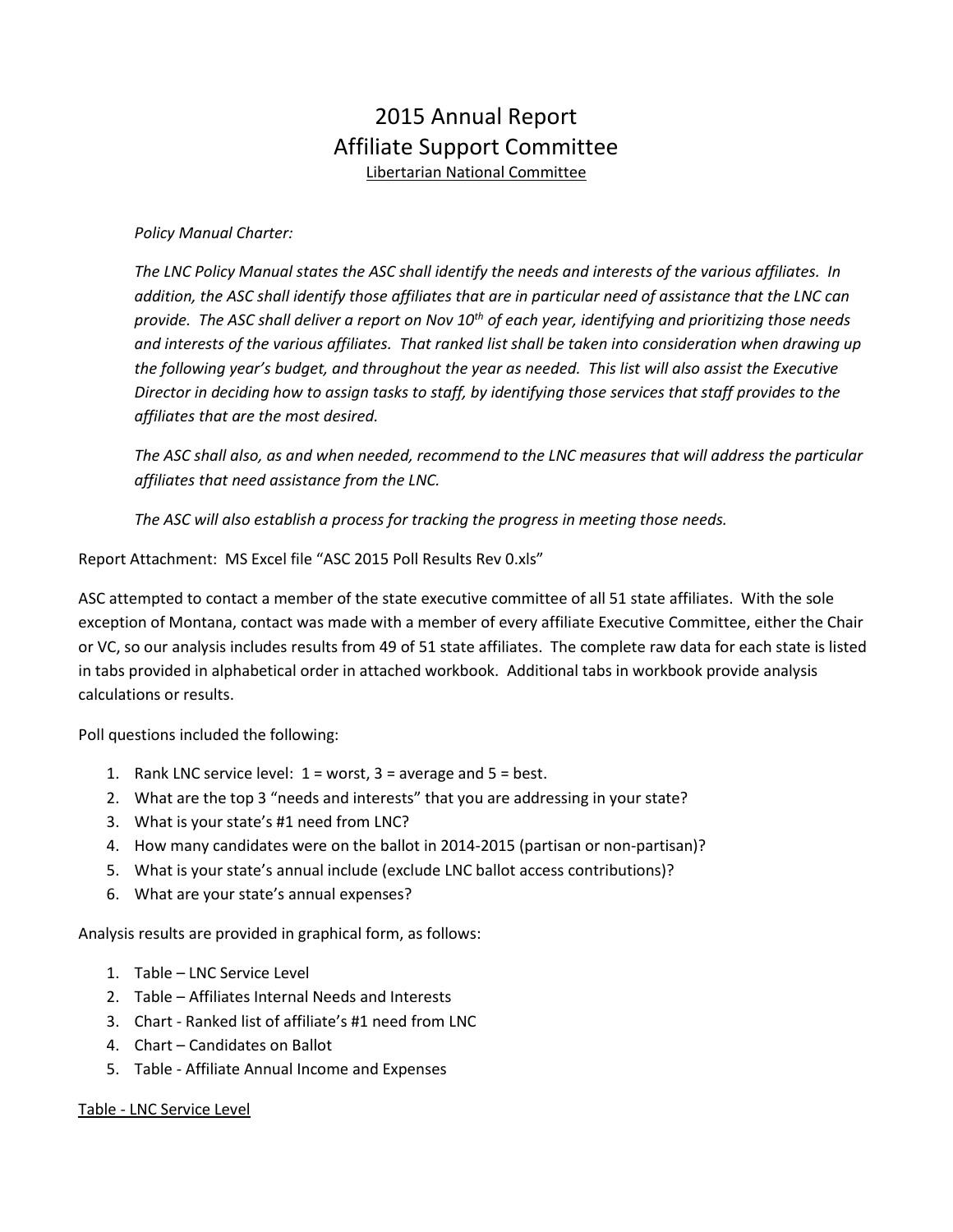# 2015 Annual Report Affiliate Support Committee Libertarian National Committee

*Policy Manual Charter:*

*The LNC Policy Manual states the ASC shall identify the needs and interests of the various affiliates. In addition, the ASC shall identify those affiliates that are in particular need of assistance that the LNC can provide. The ASC shall deliver a report on Nov 10th of each year, identifying and prioritizing those needs and interests of the various affiliates. That ranked list shall be taken into consideration when drawing up the following year's budget, and throughout the year as needed. This list will also assist the Executive Director in deciding how to assign tasks to staff, by identifying those services that staff provides to the affiliates that are the most desired.*

*The ASC shall also, as and when needed, recommend to the LNC measures that will address the particular affiliates that need assistance from the LNC.*

*The ASC will also establish a process for tracking the progress in meeting those needs.*

Report Attachment: MS Excel file "ASC 2015 Poll Results Rev 0.xls"

ASC attempted to contact a member of the state executive committee of all 51 state affiliates. With the sole exception of Montana, contact was made with a member of every affiliate Executive Committee, either the Chair or VC, so our analysis includes results from 49 of 51 state affiliates. The complete raw data for each state is listed in tabs provided in alphabetical order in attached workbook. Additional tabs in workbook provide analysis calculations or results.

Poll questions included the following:

- 1. Rank LNC service level: 1 = worst, 3 = average and 5 = best.
- 2. What are the top 3 "needs and interests" that you are addressing in your state?
- 3. What is your state's #1 need from LNC?
- 4. How many candidates were on the ballot in 2014-2015 (partisan or non-partisan)?
- 5. What is your state's annual include (exclude LNC ballot access contributions)?
- 6. What are your state's annual expenses?

Analysis results are provided in graphical form, as follows:

- 1. Table LNC Service Level
- 2. Table Affiliates Internal Needs and Interests
- 3. Chart Ranked list of affiliate's #1 need from LNC
- 4. Chart Candidates on Ballot
- 5. Table Affiliate Annual Income and Expenses

#### Table - LNC Service Level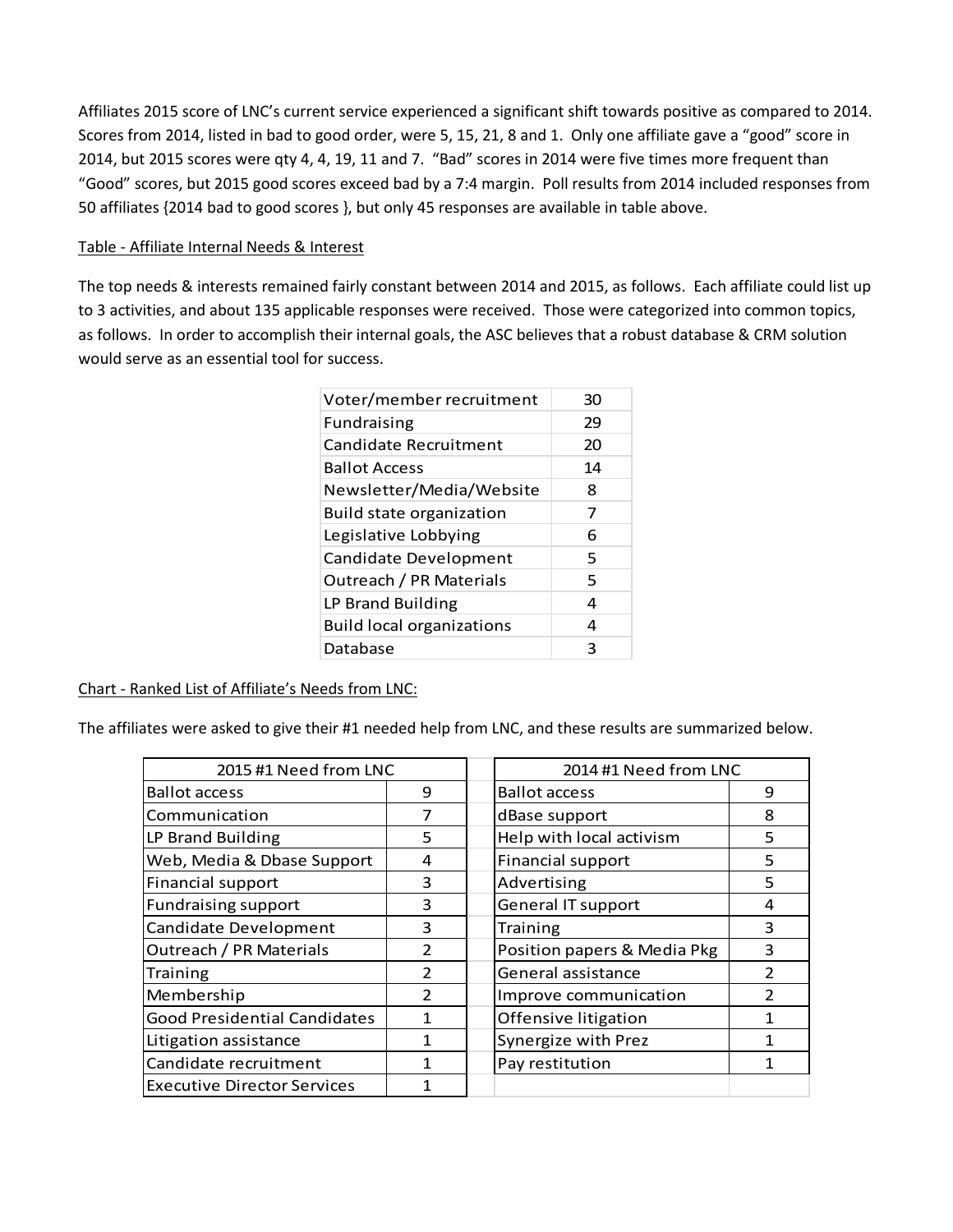Affiliates 2015 score of LNC's current service experienced a significant shift towards positive as compared to 2014. Scores from 2014, listed in bad to good order, were 5, 15, 21, 8 and 1. Only one affiliate gave a "good" score in 2014, but 2015 scores were qty 4, 4, 19, 11 and 7. "Bad" scores in 2014 were five times more frequent than "Good" scores, but 2015 good scores exceed bad by a 7:4 margin. Poll results from 2014 included responses from 50 affiliates {2014 bad to good scores }, but only 45 responses are available in table above.

#### Table - Affiliate Internal Needs & Interest

The top needs & interests remained fairly constant between 2014 and 2015, as follows. Each affiliate could list up to 3 activities, and about 135 applicable responses were received. Those were categorized into common topics, as follows. In order to accomplish their internal goals, the ASC believes that a robust database & CRM solution would serve as an essential tool for success.

| Voter/member recruitment         | 30 |
|----------------------------------|----|
| <b>Fundraising</b>               | 29 |
| Candidate Recruitment            | 20 |
| <b>Ballot Access</b>             | 14 |
| Newsletter/Media/Website         | 8  |
| Build state organization         | 7  |
| Legislative Lobbying             | 6  |
| Candidate Development            | 5  |
| Outreach / PR Materials          | 5  |
| LP Brand Building                | 4  |
| <b>Build local organizations</b> | 4  |
| Database                         | 3  |

Chart - Ranked List of Affiliate's Needs from LNC:

The affiliates were asked to give their #1 needed help from LNC, and these results are summarized below.

| 2015 #1 Need from LNC               |               | 2014 #1 Need from LNC                  |  |
|-------------------------------------|---------------|----------------------------------------|--|
| <b>Ballot access</b>                | 9             | <b>Ballot access</b><br>9              |  |
| Communication                       | 7             | 8<br>dBase support                     |  |
| LP Brand Building                   | 5             | Help with local activism<br>5          |  |
| Web, Media & Dbase Support          | 4             | Financial support<br>5                 |  |
| Financial support                   | з             | Advertising<br>5                       |  |
| <b>Fundraising support</b>          | 3             | <b>General IT support</b><br>4         |  |
| Candidate Development               | 3             | <b>Training</b><br>3                   |  |
| Outreach / PR Materials             | $\mathcal{P}$ | Position papers & Media Pkg<br>3       |  |
| Training                            | $\mathcal{P}$ | General assistance                     |  |
| Membership                          | $\mathcal{P}$ | $\mathcal{P}$<br>Improve communication |  |
| <b>Good Presidential Candidates</b> |               | Offensive litigation                   |  |
| Litigation assistance               |               | Synergize with Prez                    |  |
| Candidate recruitment               |               | Pay restitution                        |  |
| <b>Executive Director Services</b>  |               |                                        |  |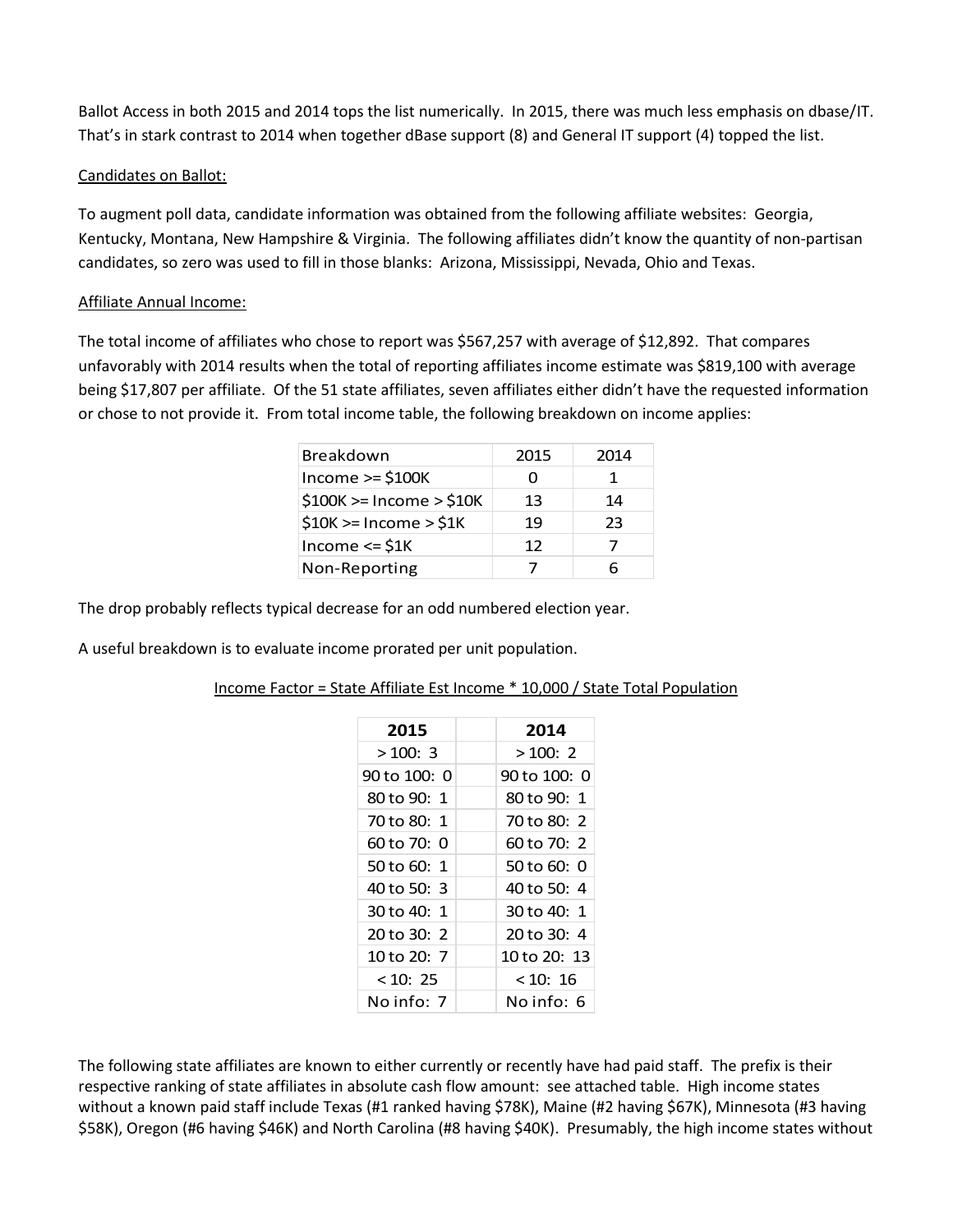Ballot Access in both 2015 and 2014 tops the list numerically. In 2015, there was much less emphasis on dbase/IT. That's in stark contrast to 2014 when together dBase support (8) and General IT support (4) topped the list.

# Candidates on Ballot:

To augment poll data, candidate information was obtained from the following affiliate websites: Georgia, Kentucky, Montana, New Hampshire & Virginia. The following affiliates didn't know the quantity of non-partisan candidates, so zero was used to fill in those blanks: Arizona, Mississippi, Nevada, Ohio and Texas.

# Affiliate Annual Income:

The total income of affiliates who chose to report was \$567,257 with average of \$12,892. That compares unfavorably with 2014 results when the total of reporting affiliates income estimate was \$819,100 with average being \$17,807 per affiliate. Of the 51 state affiliates, seven affiliates either didn't have the requested information or chose to not provide it. From total income table, the following breakdown on income applies:

| Breakdown                 | 2015 | 2014 |
|---------------------------|------|------|
| Income $>=$ \$100K        |      | 1    |
| $$100K>=$ Income $> $10K$ | 13   | 14   |
| $$10K>=$ Income $> $1K$   | 19   | 23   |
| Income $\le$ \$1K         | 12   |      |
| Non-Reporting             |      | հ    |

The drop probably reflects typical decrease for an odd numbered election year.

A useful breakdown is to evaluate income prorated per unit population.

| 2014         |
|--------------|
| >100:2       |
| 90 to 100: 0 |
| 80 to 90: 1  |
| 70 to 80: 2  |
| 60 to 70: 2  |
| 50 to 60: 0  |
| 40 to 50: 4  |
| 30 to 40: 1  |
| 20 to 30: 4  |
| 10 to 20: 13 |
| < 10:16      |
| No info:  6  |
|              |

### Income Factor = State Affiliate Est Income \* 10,000 / State Total Population

The following state affiliates are known to either currently or recently have had paid staff. The prefix is their respective ranking of state affiliates in absolute cash flow amount: see attached table. High income states without a known paid staff include Texas (#1 ranked having \$78K), Maine (#2 having \$67K), Minnesota (#3 having \$58K), Oregon (#6 having \$46K) and North Carolina (#8 having \$40K). Presumably, the high income states without